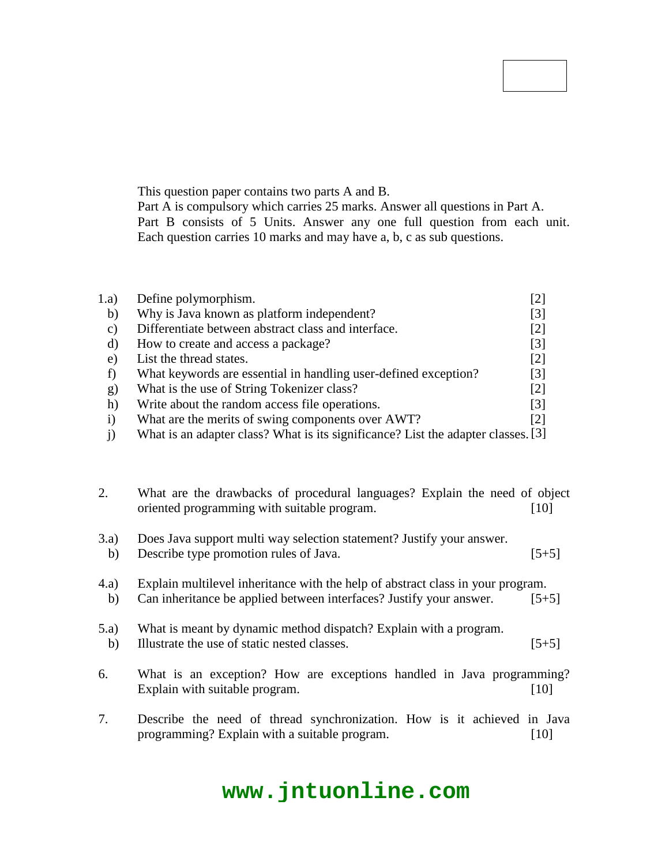### **Code No: 114CX JAWAHARLAL NEHRU TECHNOLOGICAL UNIVERSITY HYDERABAD B.Tech II Year II Semester Examinations, October/November - 2016 JAVA PROGRAMMING (Common to CSE, IT) R13**

#### **Time: 3 Hours Max. Marks: 75**

**Note:** This question paper contains two parts A and B. Part A is compulsory which carries 25 marks. Answer all questions in Part A. Part B consists of 5 Units. Answer any one full question from each unit. Each question carries 10 marks and may have a, b, c as sub questions.

# **PART- A**

|      |                                                                 | $(25 \text{ Marks})$ |
|------|-----------------------------------------------------------------|----------------------|
| 1.a) | Define polymorphism.                                            |                      |
| b)   | Why is Java known as platform independent?                      | [3]                  |
| C)   | Differentiate between abstract class and interface.             | [2]                  |
| d)   | How to create and access a package?                             | $[3]$                |
| e)   | List the thread states.                                         | [2]                  |
|      | What keywords are essential in handling user-defined exception? | [3]                  |
| g)   | What is the use of String Tokenizer class?                      | $[2]$                |
| h)   | Write about the random access file operations.                  | $\lceil 3 \rceil$    |
|      | What are the merits of swing components over AWT?               | [2]                  |

j) What is an adapter class? What is its significance? List the adapter classes.[3]

# **PART-B**

# **(50 Marks)**

2. What are the drawbacks of procedural languages? Explain the need of object oriented programming with suitable program. [10]

### **OR**

- 3.a) Does Java support multi way selection statement? Justify your answer.
- b) Describe type promotion rules of Java. [5+5]
- 4.a) Explain multilevel inheritance with the help of abstract class in your program.
- b) Can inheritance be applied between interfaces? Justify your answer. [5+5]

# **OR**

- 5.a) What is meant by dynamic method dispatch? Explain with a program.
- b) Illustrate the use of static nested classes. [5+5]
- 6. What is an exception? How are exceptions handled in Java programming? Explain with suitable program. [10]

### **OR**

7. Describe the need of thread synchronization. How is it achieved in Java programming? Explain with a suitable program. [10]

# **www.jntuonline.com**